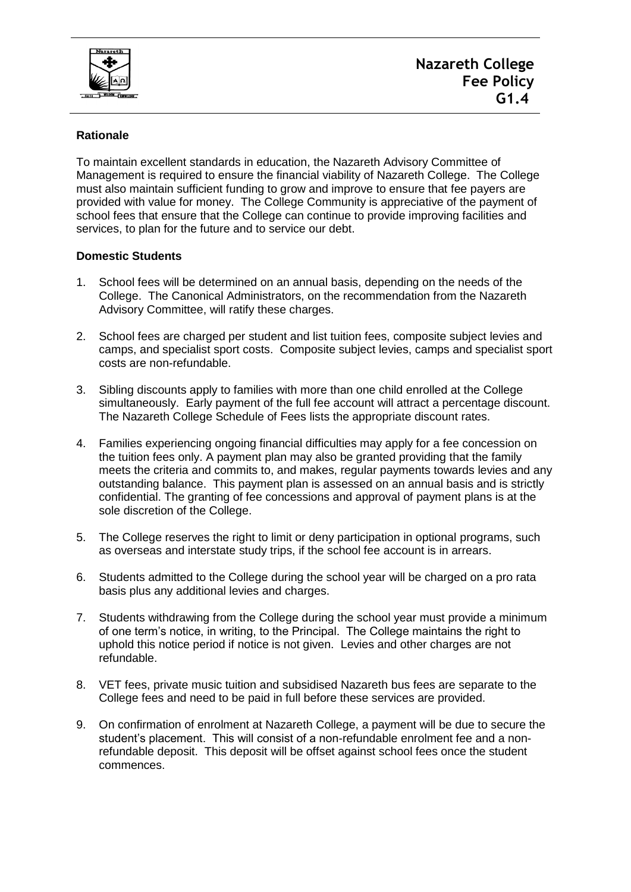

## **Rationale**

To maintain excellent standards in education, the Nazareth Advisory Committee of Management is required to ensure the financial viability of Nazareth College. The College must also maintain sufficient funding to grow and improve to ensure that fee payers are provided with value for money. The College Community is appreciative of the payment of school fees that ensure that the College can continue to provide improving facilities and services, to plan for the future and to service our debt.

## **Domestic Students**

- 1. School fees will be determined on an annual basis, depending on the needs of the College. The Canonical Administrators, on the recommendation from the Nazareth Advisory Committee, will ratify these charges.
- 2. School fees are charged per student and list tuition fees, composite subject levies and camps, and specialist sport costs. Composite subject levies, camps and specialist sport costs are non-refundable.
- 3. Sibling discounts apply to families with more than one child enrolled at the College simultaneously. Early payment of the full fee account will attract a percentage discount. The Nazareth College Schedule of Fees lists the appropriate discount rates.
- 4. Families experiencing ongoing financial difficulties may apply for a fee concession on the tuition fees only. A payment plan may also be granted providing that the family meets the criteria and commits to, and makes, regular payments towards levies and any outstanding balance. This payment plan is assessed on an annual basis and is strictly confidential. The granting of fee concessions and approval of payment plans is at the sole discretion of the College.
- 5. The College reserves the right to limit or deny participation in optional programs, such as overseas and interstate study trips, if the school fee account is in arrears.
- 6. Students admitted to the College during the school year will be charged on a pro rata basis plus any additional levies and charges.
- 7. Students withdrawing from the College during the school year must provide a minimum of one term's notice, in writing, to the Principal. The College maintains the right to uphold this notice period if notice is not given. Levies and other charges are not refundable.
- 8. VET fees, private music tuition and subsidised Nazareth bus fees are separate to the College fees and need to be paid in full before these services are provided.
- 9. On confirmation of enrolment at Nazareth College, a payment will be due to secure the student's placement. This will consist of a non-refundable enrolment fee and a nonrefundable deposit. This deposit will be offset against school fees once the student commences.